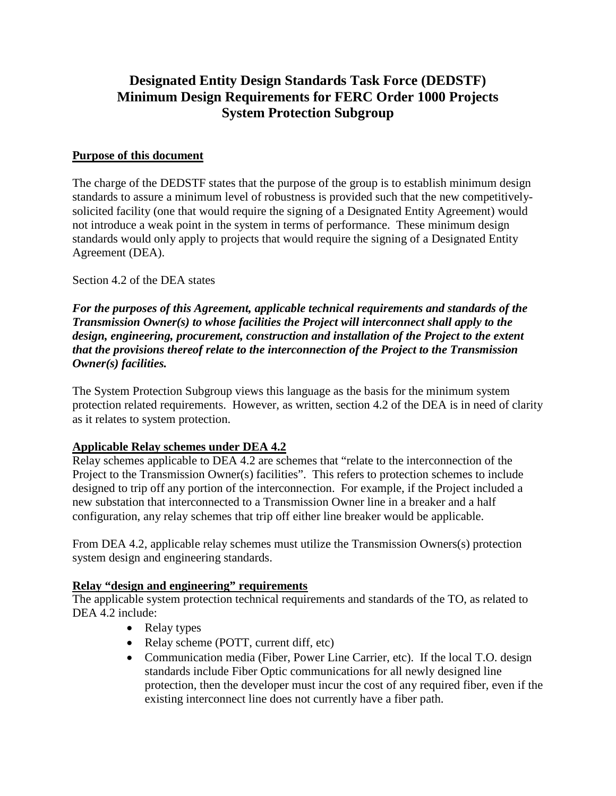# **Designated Entity Design Standards Task Force (DEDSTF) Minimum Design Requirements for FERC Order 1000 Projects System Protection Subgroup**

#### **Purpose of this document**

The charge of the DEDSTF states that the purpose of the group is to establish minimum design standards to assure a minimum level of robustness is provided such that the new competitivelysolicited facility (one that would require the signing of a Designated Entity Agreement) would not introduce a weak point in the system in terms of performance. These minimum design standards would only apply to projects that would require the signing of a Designated Entity Agreement (DEA).

Section 4.2 of the DEA states

*For the purposes of this Agreement, applicable technical requirements and standards of the Transmission Owner(s) to whose facilities the Project will interconnect shall apply to the design, engineering, procurement, construction and installation of the Project to the extent that the provisions thereof relate to the interconnection of the Project to the Transmission Owner(s) facilities.*

The System Protection Subgroup views this language as the basis for the minimum system protection related requirements. However, as written, section 4.2 of the DEA is in need of clarity as it relates to system protection.

### **Applicable Relay schemes under DEA 4.2**

Relay schemes applicable to DEA 4.2 are schemes that "relate to the interconnection of the Project to the Transmission Owner(s) facilities". This refers to protection schemes to include designed to trip off any portion of the interconnection. For example, if the Project included a new substation that interconnected to a Transmission Owner line in a breaker and a half configuration, any relay schemes that trip off either line breaker would be applicable.

From DEA 4.2, applicable relay schemes must utilize the Transmission Owners(s) protection system design and engineering standards.

### **Relay "design and engineering" requirements**

The applicable system protection technical requirements and standards of the TO, as related to DEA 4.2 include:

- Relay types
- Relay scheme (POTT, current diff, etc)
- Communication media (Fiber, Power Line Carrier, etc). If the local T.O. design standards include Fiber Optic communications for all newly designed line protection, then the developer must incur the cost of any required fiber, even if the existing interconnect line does not currently have a fiber path.